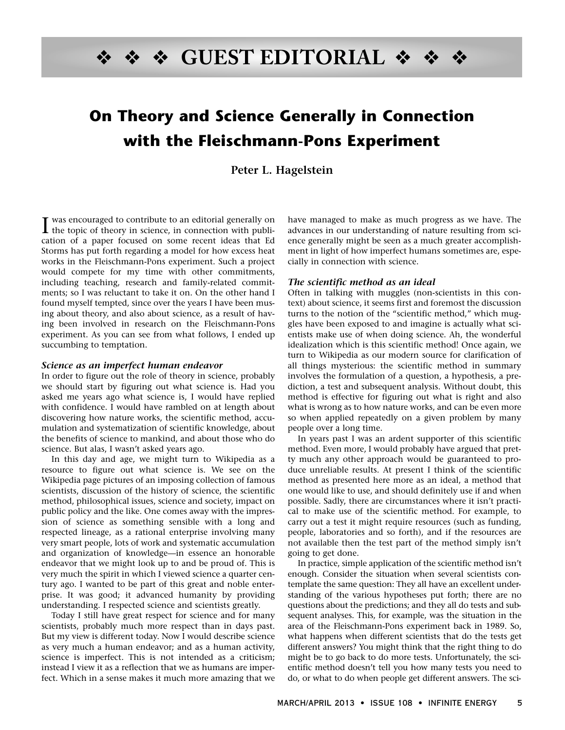# ❖ ❖ ❖ **GUEST EDITORIAL** ❖ ❖ ❖

# **On Theory and Science Generally in Connection with the Fleischmann-Pons Experiment**

**Peter L. Hagelstein**

I was encouraged to contribute to an editorial generally on<br>the topic of theory in science, in connection with publithe topic of theory in science, in connection with publication of a paper focused on some recent ideas that Ed Storms has put forth regarding a model for how excess heat works in the Fleischmann-Pons experiment. Such a project would compete for my time with other commitments, including teaching, research and family-related commitments; so I was reluctant to take it on. On the other hand I found myself tempted, since over the years I have been musing about theory, and also about science, as a result of having been involved in research on the Fleischmann-Pons experiment. As you can see from what follows, I ended up succumbing to temptation.

#### **Science as an imperfect human endeavor**

In order to figure out the role of theory in science, probably we should start by figuring out what science is. Had you asked me years ago what science is, I would have replied with confidence. I would have rambled on at length about discovering how nature works, the scientific method, accumulation and systematization of scientific knowledge, about the benefits of science to mankind, and about those who do science. But alas, I wasn't asked years ago.

In this day and age, we might turn to Wikipedia as a resource to figure out what science is. We see on the Wikipedia page pictures of an imposing collection of famous scientists, discussion of the history of science, the scientific method, philosophical issues, science and society, impact on public policy and the like. One comes away with the impression of science as something sensible with a long and respected lineage, as a rational enterprise involving many very smart people, lots of work and systematic accumulation and organization of knowledge—in essence an honorable endeavor that we might look up to and be proud of. This is very much the spirit in which I viewed science a quarter century ago. I wanted to be part of this great and noble enterprise. It was good; it advanced humanity by providing understanding. I respected science and scientists greatly.

Today I still have great respect for science and for many scientists, probably much more respect than in days past. But my view is different today. Now I would describe science as very much a human endeavor; and as a human activity, science is imperfect. This is not intended as a criticism; instead I view it as a reflection that we as humans are imperfect. Which in a sense makes it much more amazing that we

have managed to make as much progress as we have. The advances in our understanding of nature resulting from science generally might be seen as a much greater accomplishment in light of how imperfect humans sometimes are, especially in connection with science.

#### **The scientific method as an ideal**

Often in talking with muggles (non-scientists in this context) about science, it seems first and foremost the discussion turns to the notion of the "scientific method," which muggles have been exposed to and imagine is actually what scientists make use of when doing science. Ah, the wonderful idealization which is this scientific method! Once again, we turn to Wikipedia as our modern source for clarification of all things mysterious: the scientific method in summary involves the formulation of a question, a hypothesis, a prediction, a test and subsequent analysis. Without doubt, this method is effective for figuring out what is right and also what is wrong as to how nature works, and can be even more so when applied repeatedly on a given problem by many people over a long time.

In years past I was an ardent supporter of this scientific method. Even more, I would probably have argued that pretty much any other approach would be guaranteed to produce unreliable results. At present I think of the scientific method as presented here more as an ideal, a method that one would like to use, and should definitely use if and when possible. Sadly, there are circumstances where it isn't practical to make use of the scientific method. For example, to carry out a test it might require resources (such as funding, people, laboratories and so forth), and if the resources are not available then the test part of the method simply isn't going to get done.

In practice, simple application of the scientific method isn't enough. Consider the situation when several scientists contemplate the same question: They all have an excellent understanding of the various hypotheses put forth; there are no questions about the predictions; and they all do tests and subsequent analyses. This, for example, was the situation in the area of the Fleischmann-Pons experiment back in 1989. So, what happens when different scientists that do the tests get different answers? You might think that the right thing to do might be to go back to do more tests. Unfortunately, the scientific method doesn't tell you how many tests you need to do, or what to do when people get different answers. The sci-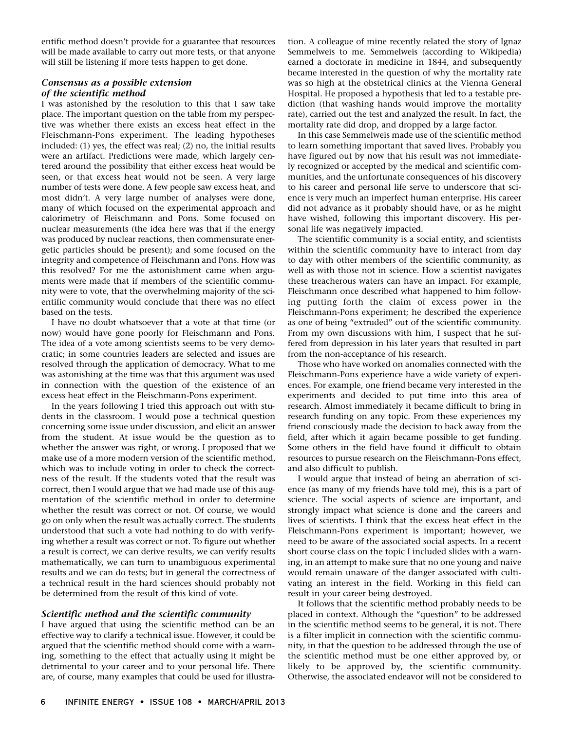entific method doesn't provide for a guarantee that resources will be made available to carry out more tests, or that anyone will still be listening if more tests happen to get done.

# **Consensus as a possible extension of the scientific method**

I was astonished by the resolution to this that I saw take place. The important question on the table from my perspective was whether there exists an excess heat effect in the Fleischmann-Pons experiment. The leading hypotheses included: (1) yes, the effect was real; (2) no, the initial results were an artifact. Predictions were made, which largely centered around the possibility that either excess heat would be seen, or that excess heat would not be seen. A very large number of tests were done. A few people saw excess heat, and most didn't. A very large number of analyses were done, many of which focused on the experimental approach and calorimetry of Fleischmann and Pons. Some focused on nuclear measurements (the idea here was that if the energy was produced by nuclear reactions, then commensurate energetic particles should be present); and some focused on the integrity and competence of Fleischmann and Pons. How was this resolved? For me the astonishment came when arguments were made that if members of the scientific community were to vote, that the overwhelming majority of the scientific community would conclude that there was no effect based on the tests.

I have no doubt whatsoever that a vote at that time (or now) would have gone poorly for Fleischmann and Pons. The idea of a vote among scientists seems to be very democratic; in some countries leaders are selected and issues are resolved through the application of democracy. What to me was astonishing at the time was that this argument was used in connection with the question of the existence of an excess heat effect in the Fleischmann-Pons experiment.

In the years following I tried this approach out with students in the classroom. I would pose a technical question concerning some issue under discussion, and elicit an answer from the student. At issue would be the question as to whether the answer was right, or wrong. I proposed that we make use of a more modern version of the scientific method, which was to include voting in order to check the correctness of the result. If the students voted that the result was correct, then I would argue that we had made use of this augmentation of the scientific method in order to determine whether the result was correct or not. Of course, we would go on only when the result was actually correct. The students understood that such a vote had nothing to do with verifying whether a result was correct or not. To figure out whether a result is correct, we can derive results, we can verify results mathematically, we can turn to unambiguous experimental results and we can do tests; but in general the correctness of a technical result in the hard sciences should probably not be determined from the result of this kind of vote.

# **Scientific method and the scientific community**

I have argued that using the scientific method can be an effective way to clarify a technical issue. However, it could be argued that the scientific method should come with a warning, something to the effect that actually using it might be detrimental to your career and to your personal life. There are, of course, many examples that could be used for illustra-

tion. A colleague of mine recently related the story of Ignaz Semmelweis to me. Semmelweis (according to Wikipedia) earned a doctorate in medicine in 1844, and subsequently became interested in the question of why the mortality rate was so high at the obstetrical clinics at the Vienna General Hospital. He proposed a hypothesis that led to a testable prediction (that washing hands would improve the mortality rate), carried out the test and analyzed the result. In fact, the mortality rate did drop, and dropped by a large factor.

In this case Semmelweis made use of the scientific method to learn something important that saved lives. Probably you have figured out by now that his result was not immediately recognized or accepted by the medical and scientific communities, and the unfortunate consequences of his discovery to his career and personal life serve to underscore that science is very much an imperfect human enterprise. His career did not advance as it probably should have, or as he might have wished, following this important discovery. His personal life was negatively impacted.

The scientific community is a social entity, and scientists within the scientific community have to interact from day to day with other members of the scientific community, as well as with those not in science. How a scientist navigates these treacherous waters can have an impact. For example, Fleischmann once described what happened to him following putting forth the claim of excess power in the Fleischmann-Pons experiment; he described the experience as one of being "extruded" out of the scientific community. From my own discussions with him, I suspect that he suffered from depression in his later years that resulted in part from the non-acceptance of his research.

Those who have worked on anomalies connected with the Fleischmann-Pons experience have a wide variety of experiences. For example, one friend became very interested in the experiments and decided to put time into this area of research. Almost immediately it became difficult to bring in research funding on any topic. From these experiences my friend consciously made the decision to back away from the field, after which it again became possible to get funding. Some others in the field have found it difficult to obtain resources to pursue research on the Fleischmann-Pons effect, and also difficult to publish.

I would argue that instead of being an aberration of science (as many of my friends have told me), this is a part of science. The social aspects of science are important, and strongly impact what science is done and the careers and lives of scientists. I think that the excess heat effect in the Fleischmann-Pons experiment is important; however, we need to be aware of the associated social aspects. In a recent short course class on the topic I included slides with a warning, in an attempt to make sure that no one young and naive would remain unaware of the danger associated with cultivating an interest in the field. Working in this field can result in your career being destroyed.

It follows that the scientific method probably needs to be placed in context. Although the "question" to be addressed in the scientific method seems to be general, it is not. There is a filter implicit in connection with the scientific community, in that the question to be addressed through the use of the scientific method must be one either approved by, or likely to be approved by, the scientific community. Otherwise, the associated endeavor will not be considered to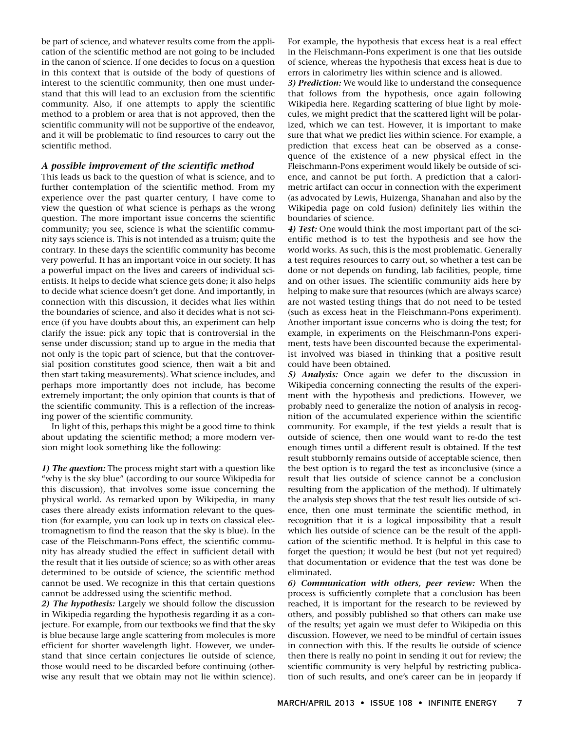be part of science, and whatever results come from the application of the scientific method are not going to be included in the canon of science. If one decides to focus on a question in this context that is outside of the body of questions of interest to the scientific community, then one must understand that this will lead to an exclusion from the scientific community. Also, if one attempts to apply the scientific method to a problem or area that is not approved, then the scientific community will not be supportive of the endeavor, and it will be problematic to find resources to carry out the scientific method.

#### **A possible improvement of the scientific method**

This leads us back to the question of what is science, and to further contemplation of the scientific method. From my experience over the past quarter century, I have come to view the question of what science is perhaps as the wrong question. The more important issue concerns the scientific community; you see, science is what the scientific community says science is. This is not intended as a truism; quite the contrary. In these days the scientific community has become very powerful. It has an important voice in our society. It has a powerful impact on the lives and careers of individual scientists. It helps to decide what science gets done; it also helps to decide what science doesn't get done. And importantly, in connection with this discussion, it decides what lies within the boundaries of science, and also it decides what is not science (if you have doubts about this, an experiment can help clarify the issue: pick any topic that is controversial in the sense under discussion; stand up to argue in the media that not only is the topic part of science, but that the controversial position constitutes good science, then wait a bit and then start taking measurements). What science includes, and perhaps more importantly does not include, has become extremely important; the only opinion that counts is that of the scientific community. This is a reflection of the increasing power of the scientific community.

In light of this, perhaps this might be a good time to think about updating the scientific method; a more modern version might look something like the following:

**1) The question:** The process might start with a question like "why is the sky blue" (according to our source Wikipedia for this discussion), that involves some issue concerning the physical world. As remarked upon by Wikipedia, in many cases there already exists information relevant to the question (for example, you can look up in texts on classical electromagnetism to find the reason that the sky is blue). In the case of the Fleischmann-Pons effect, the scientific community has already studied the effect in sufficient detail with the result that it lies outside of science; so as with other areas determined to be outside of science, the scientific method cannot be used. We recognize in this that certain questions cannot be addressed using the scientific method.

**2) The hypothesis:** Largely we should follow the discussion in Wikipedia regarding the hypothesis regarding it as a conjecture. For example, from our textbooks we find that the sky is blue because large angle scattering from molecules is more efficient for shorter wavelength light. However, we understand that since certain conjectures lie outside of science, those would need to be discarded before continuing (otherwise any result that we obtain may not lie within science).

For example, the hypothesis that excess heat is a real effect in the Fleischmann-Pons experiment is one that lies outside of science, whereas the hypothesis that excess heat is due to errors in calorimetry lies within science and is allowed.

**3) Prediction:** We would like to understand the consequence that follows from the hypothesis, once again following Wikipedia here. Regarding scattering of blue light by molecules, we might predict that the scattered light will be polarized, which we can test. However, it is important to make sure that what we predict lies within science. For example, a prediction that excess heat can be observed as a consequence of the existence of a new physical effect in the Fleischmann-Pons experiment would likely be outside of science, and cannot be put forth. A prediction that a calorimetric artifact can occur in connection with the experiment (as advocated by Lewis, Huizenga, Shanahan and also by the Wikipedia page on cold fusion) definitely lies within the boundaries of science.

**4) Test:** One would think the most important part of the scientific method is to test the hypothesis and see how the world works. As such, this is the most problematic. Generally a test requires resources to carry out, so whether a test can be done or not depends on funding, lab facilities, people, time and on other issues. The scientific community aids here by helping to make sure that resources (which are always scarce) are not wasted testing things that do not need to be tested (such as excess heat in the Fleischmann-Pons experiment). Another important issue concerns who is doing the test; for example, in experiments on the Fleischmann-Pons experiment, tests have been discounted because the experimentalist involved was biased in thinking that a positive result could have been obtained.

**5) Analysis:** Once again we defer to the discussion in Wikipedia concerning connecting the results of the experiment with the hypothesis and predictions. However, we probably need to generalize the notion of analysis in recognition of the accumulated experience within the scientific community. For example, if the test yields a result that is outside of science, then one would want to re-do the test enough times until a different result is obtained. If the test result stubbornly remains outside of acceptable science, then the best option is to regard the test as inconclusive (since a result that lies outside of science cannot be a conclusion resulting from the application of the method). If ultimately the analysis step shows that the test result lies outside of science, then one must terminate the scientific method, in recognition that it is a logical impossibility that a result which lies outside of science can be the result of the application of the scientific method. It is helpful in this case to forget the question; it would be best (but not yet required) that documentation or evidence that the test was done be eliminated.

**6) Communication with others, peer review:** When the process is sufficiently complete that a conclusion has been reached, it is important for the research to be reviewed by others, and possibly published so that others can make use of the results; yet again we must defer to Wikipedia on this discussion. However, we need to be mindful of certain issues in connection with this. If the results lie outside of science then there is really no point in sending it out for review; the scientific community is very helpful by restricting publication of such results, and one's career can be in jeopardy if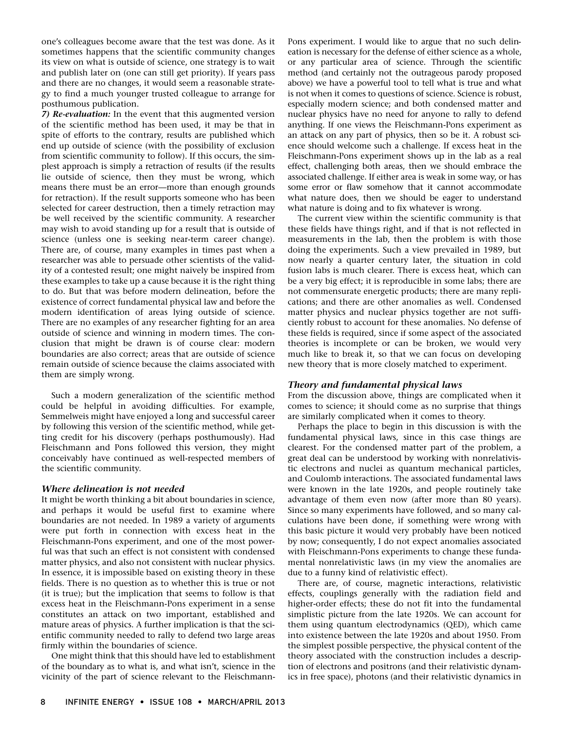one's colleagues become aware that the test was done. As it sometimes happens that the scientific community changes its view on what is outside of science, one strategy is to wait and publish later on (one can still get priority). If years pass and there are no changes, it would seem a reasonable strategy to find a much younger trusted colleague to arrange for posthumous publication.

**7) Re-evaluation:** In the event that this augmented version of the scientific method has been used, it may be that in spite of efforts to the contrary, results are published which end up outside of science (with the possibility of exclusion from scientific community to follow). If this occurs, the simplest approach is simply a retraction of results (if the results lie outside of science, then they must be wrong, which means there must be an error—more than enough grounds for retraction). If the result supports someone who has been selected for career destruction, then a timely retraction may be well received by the scientific community. A researcher may wish to avoid standing up for a result that is outside of science (unless one is seeking near-term career change). There are, of course, many examples in times past when a researcher was able to persuade other scientists of the validity of a contested result; one might naively be inspired from these examples to take up a cause because it is the right thing to do. But that was before modern delineation, before the existence of correct fundamental physical law and before the modern identification of areas lying outside of science. There are no examples of any researcher fighting for an area outside of science and winning in modern times. The conclusion that might be drawn is of course clear: modern boundaries are also correct; areas that are outside of science remain outside of science because the claims associated with them are simply wrong.

Such a modern generalization of the scientific method could be helpful in avoiding difficulties. For example, Semmelweis might have enjoyed a long and successful career by following this version of the scientific method, while getting credit for his discovery (perhaps posthumously). Had Fleischmann and Pons followed this version, they might conceivably have continued as well-respected members of the scientific community.

#### **Where delineation is not needed**

It might be worth thinking a bit about boundaries in science, and perhaps it would be useful first to examine where boundaries are not needed. In 1989 a variety of arguments were put forth in connection with excess heat in the Fleischmann-Pons experiment, and one of the most powerful was that such an effect is not consistent with condensed matter physics, and also not consistent with nuclear physics. In essence, it is impossible based on existing theory in these fields. There is no question as to whether this is true or not (it is true); but the implication that seems to follow is that excess heat in the Fleischmann-Pons experiment in a sense constitutes an attack on two important, established and mature areas of physics. A further implication is that the scientific community needed to rally to defend two large areas firmly within the boundaries of science.

One might think that this should have led to establishment of the boundary as to what is, and what isn't, science in the vicinity of the part of science relevant to the FleischmannPons experiment. I would like to argue that no such delineation is necessary for the defense of either science as a whole, or any particular area of science. Through the scientific method (and certainly not the outrageous parody proposed above) we have a powerful tool to tell what is true and what is not when it comes to questions of science. Science is robust, especially modern science; and both condensed matter and nuclear physics have no need for anyone to rally to defend anything. If one views the Fleischmann-Pons experiment as an attack on any part of physics, then so be it. A robust science should welcome such a challenge. If excess heat in the Fleischmann-Pons experiment shows up in the lab as a real effect, challenging both areas, then we should embrace the associated challenge. If either area is weak in some way, or has some error or flaw somehow that it cannot accommodate what nature does, then we should be eager to understand what nature is doing and to fix whatever is wrong.

The current view within the scientific community is that these fields have things right, and if that is not reflected in measurements in the lab, then the problem is with those doing the experiments. Such a view prevailed in 1989, but now nearly a quarter century later, the situation in cold fusion labs is much clearer. There is excess heat, which can be a very big effect; it is reproducible in some labs; there are not commensurate energetic products; there are many replications; and there are other anomalies as well. Condensed matter physics and nuclear physics together are not sufficiently robust to account for these anomalies. No defense of these fields is required, since if some aspect of the associated theories is incomplete or can be broken, we would very much like to break it, so that we can focus on developing new theory that is more closely matched to experiment.

### **Theory and fundamental physical laws**

From the discussion above, things are complicated when it comes to science; it should come as no surprise that things are similarly complicated when it comes to theory.

Perhaps the place to begin in this discussion is with the fundamental physical laws, since in this case things are clearest. For the condensed matter part of the problem, a great deal can be understood by working with nonrelativistic electrons and nuclei as quantum mechanical particles, and Coulomb interactions. The associated fundamental laws were known in the late 1920s, and people routinely take advantage of them even now (after more than 80 years). Since so many experiments have followed, and so many calculations have been done, if something were wrong with this basic picture it would very probably have been noticed by now; consequently, I do not expect anomalies associated with Fleischmann-Pons experiments to change these fundamental nonrelativistic laws (in my view the anomalies are due to a funny kind of relativistic effect).

There are, of course, magnetic interactions, relativistic effects, couplings generally with the radiation field and higher-order effects; these do not fit into the fundamental simplistic picture from the late 1920s. We can account for them using quantum electrodynamics (QED), which came into existence between the late 1920s and about 1950. From the simplest possible perspective, the physical content of the theory associated with the construction includes a description of electrons and positrons (and their relativistic dynamics in free space), photons (and their relativistic dynamics in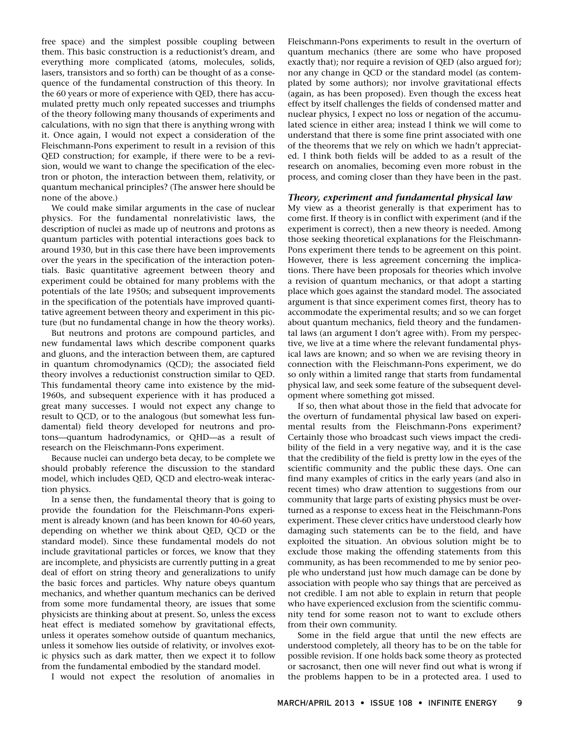free space) and the simplest possible coupling between them. This basic construction is a reductionist's dream, and everything more complicated (atoms, molecules, solids, lasers, transistors and so forth) can be thought of as a consequence of the fundamental construction of this theory. In the 60 years or more of experience with QED, there has accumulated pretty much only repeated successes and triumphs of the theory following many thousands of experiments and calculations, with no sign that there is anything wrong with it. Once again, I would not expect a consideration of the Fleischmann-Pons experiment to result in a revision of this QED construction; for example, if there were to be a revision, would we want to change the specification of the electron or photon, the interaction between them, relativity, or quantum mechanical principles? (The answer here should be none of the above.)

We could make similar arguments in the case of nuclear physics. For the fundamental nonrelativistic laws, the description of nuclei as made up of neutrons and protons as quantum particles with potential interactions goes back to around 1930, but in this case there have been improvements over the years in the specification of the interaction potentials. Basic quantitative agreement between theory and experiment could be obtained for many problems with the potentials of the late 1950s; and subsequent improvements in the specification of the potentials have improved quantitative agreement between theory and experiment in this picture (but no fundamental change in how the theory works).

But neutrons and protons are compound particles, and new fundamental laws which describe component quarks and gluons, and the interaction between them, are captured in quantum chromodynamics (QCD); the associated field theory involves a reductionist construction similar to QED. This fundamental theory came into existence by the mid-1960s, and subsequent experience with it has produced a great many successes. I would not expect any change to result to QCD, or to the analogous (but somewhat less fundamental) field theory developed for neutrons and protons—quantum hadrodynamics, or QHD—as a result of research on the Fleischmann-Pons experiment.

Because nuclei can undergo beta decay, to be complete we should probably reference the discussion to the standard model, which includes QED, QCD and electro-weak interaction physics.

In a sense then, the fundamental theory that is going to provide the foundation for the Fleischmann-Pons experiment is already known (and has been known for 40-60 years, depending on whether we think about QED, QCD or the standard model). Since these fundamental models do not include gravitational particles or forces, we know that they are incomplete, and physicists are currently putting in a great deal of effort on string theory and generalizations to unify the basic forces and particles. Why nature obeys quantum mechanics, and whether quantum mechanics can be derived from some more fundamental theory, are issues that some physicists are thinking about at present. So, unless the excess heat effect is mediated somehow by gravitational effects, unless it operates somehow outside of quantum mechanics, unless it somehow lies outside of relativity, or involves exotic physics such as dark matter, then we expect it to follow from the fundamental embodied by the standard model.

I would not expect the resolution of anomalies in

Fleischmann-Pons experiments to result in the overturn of quantum mechanics (there are some who have proposed exactly that); nor require a revision of QED (also argued for); nor any change in QCD or the standard model (as contemplated by some authors); nor involve gravitational effects (again, as has been proposed). Even though the excess heat effect by itself challenges the fields of condensed matter and nuclear physics, I expect no loss or negation of the accumulated science in either area; instead I think we will come to understand that there is some fine print associated with one of the theorems that we rely on which we hadn't appreciated. I think both fields will be added to as a result of the research on anomalies, becoming even more robust in the process, and coming closer than they have been in the past.

#### **Theory, experiment and fundamental physical law**

My view as a theorist generally is that experiment has to come first. If theory is in conflict with experiment (and if the experiment is correct), then a new theory is needed. Among those seeking theoretical explanations for the Fleischmann-Pons experiment there tends to be agreement on this point. However, there is less agreement concerning the implications. There have been proposals for theories which involve a revision of quantum mechanics, or that adopt a starting place which goes against the standard model. The associated argument is that since experiment comes first, theory has to accommodate the experimental results; and so we can forget about quantum mechanics, field theory and the fundamental laws (an argument I don't agree with). From my perspective, we live at a time where the relevant fundamental physical laws are known; and so when we are revising theory in connection with the Fleischmann-Pons experiment, we do so only within a limited range that starts from fundamental physical law, and seek some feature of the subsequent development where something got missed.

If so, then what about those in the field that advocate for the overturn of fundamental physical law based on experimental results from the Fleischmann-Pons experiment? Certainly those who broadcast such views impact the credibility of the field in a very negative way, and it is the case that the credibility of the field is pretty low in the eyes of the scientific community and the public these days. One can find many examples of critics in the early years (and also in recent times) who draw attention to suggestions from our community that large parts of existing physics must be overturned as a response to excess heat in the Fleischmann-Pons experiment. These clever critics have understood clearly how damaging such statements can be to the field, and have exploited the situation. An obvious solution might be to exclude those making the offending statements from this community, as has been recommended to me by senior people who understand just how much damage can be done by association with people who say things that are perceived as not credible. I am not able to explain in return that people who have experienced exclusion from the scientific community tend for some reason not to want to exclude others from their own community.

Some in the field argue that until the new effects are understood completely, all theory has to be on the table for possible revision. If one holds back some theory as protected or sacrosanct, then one will never find out what is wrong if the problems happen to be in a protected area. I used to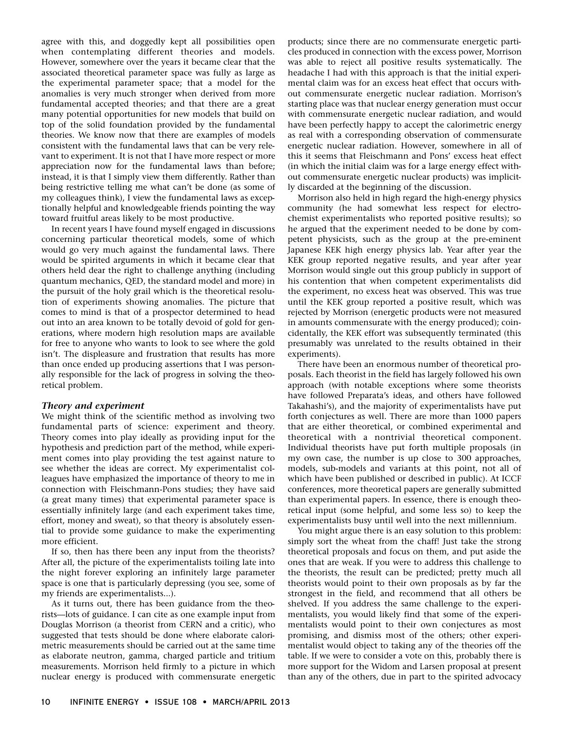agree with this, and doggedly kept all possibilities open when contemplating different theories and models. However, somewhere over the years it became clear that the associated theoretical parameter space was fully as large as the experimental parameter space; that a model for the anomalies is very much stronger when derived from more fundamental accepted theories; and that there are a great many potential opportunities for new models that build on top of the solid foundation provided by the fundamental theories. We know now that there are examples of models consistent with the fundamental laws that can be very relevant to experiment. It is not that I have more respect or more appreciation now for the fundamental laws than before; instead, it is that I simply view them differently. Rather than being restrictive telling me what can't be done (as some of my colleagues think), I view the fundamental laws as exceptionally helpful and knowledgeable friends pointing the way toward fruitful areas likely to be most productive.

In recent years I have found myself engaged in discussions concerning particular theoretical models, some of which would go very much against the fundamental laws. There would be spirited arguments in which it became clear that others held dear the right to challenge anything (including quantum mechanics, QED, the standard model and more) in the pursuit of the holy grail which is the theoretical resolution of experiments showing anomalies. The picture that comes to mind is that of a prospector determined to head out into an area known to be totally devoid of gold for generations, where modern high resolution maps are available for free to anyone who wants to look to see where the gold isn't. The displeasure and frustration that results has more than once ended up producing assertions that I was personally responsible for the lack of progress in solving the theoretical problem.

#### **Theory and experiment**

We might think of the scientific method as involving two fundamental parts of science: experiment and theory. Theory comes into play ideally as providing input for the hypothesis and prediction part of the method, while experiment comes into play providing the test against nature to see whether the ideas are correct. My experimentalist colleagues have emphasized the importance of theory to me in connection with Fleischmann-Pons studies; they have said (a great many times) that experimental parameter space is essentially infinitely large (and each experiment takes time, effort, money and sweat), so that theory is absolutely essential to provide some guidance to make the experimenting more efficient.

If so, then has there been any input from the theorists? After all, the picture of the experimentalists toiling late into the night forever exploring an infinitely large parameter space is one that is particularly depressing (you see, some of my friends are experimentalists...).

As it turns out, there has been guidance from the theorists—lots of guidance. I can cite as one example input from Douglas Morrison (a theorist from CERN and a critic), who suggested that tests should be done where elaborate calorimetric measurements should be carried out at the same time as elaborate neutron, gamma, charged particle and tritium measurements. Morrison held firmly to a picture in which nuclear energy is produced with commensurate energetic

products; since there are no commensurate energetic particles produced in connection with the excess power, Morrison was able to reject all positive results systematically. The headache I had with this approach is that the initial experimental claim was for an excess heat effect that occurs without commensurate energetic nuclear radiation. Morrison's starting place was that nuclear energy generation must occur with commensurate energetic nuclear radiation, and would have been perfectly happy to accept the calorimetric energy as real with a corresponding observation of commensurate energetic nuclear radiation. However, somewhere in all of this it seems that Fleischmann and Pons' excess heat effect (in which the initial claim was for a large energy effect without commensurate energetic nuclear products) was implicitly discarded at the beginning of the discussion.

Morrison also held in high regard the high-energy physics community (he had somewhat less respect for electrochemist experimentalists who reported positive results); so he argued that the experiment needed to be done by competent physicists, such as the group at the pre-eminent Japanese KEK high energy physics lab. Year after year the KEK group reported negative results, and year after year Morrison would single out this group publicly in support of his contention that when competent experimentalists did the experiment, no excess heat was observed. This was true until the KEK group reported a positive result, which was rejected by Morrison (energetic products were not measured in amounts commensurate with the energy produced); coincidentally, the KEK effort was subsequently terminated (this presumably was unrelated to the results obtained in their experiments).

There have been an enormous number of theoretical proposals. Each theorist in the field has largely followed his own approach (with notable exceptions where some theorists have followed Preparata's ideas, and others have followed Takahashi's), and the majority of experimentalists have put forth conjectures as well. There are more than 1000 papers that are either theoretical, or combined experimental and theoretical with a nontrivial theoretical component. Individual theorists have put forth multiple proposals (in my own case, the number is up close to 300 approaches, models, sub-models and variants at this point, not all of which have been published or described in public). At ICCF conferences, more theoretical papers are generally submitted than experimental papers. In essence, there is enough theoretical input (some helpful, and some less so) to keep the experimentalists busy until well into the next millennium.

You might argue there is an easy solution to this problem: simply sort the wheat from the chaff! Just take the strong theoretical proposals and focus on them, and put aside the ones that are weak. If you were to address this challenge to the theorists, the result can be predicted; pretty much all theorists would point to their own proposals as by far the strongest in the field, and recommend that all others be shelved. If you address the same challenge to the experimentalists, you would likely find that some of the experimentalists would point to their own conjectures as most promising, and dismiss most of the others; other experimentalist would object to taking any of the theories off the table. If we were to consider a vote on this, probably there is more support for the Widom and Larsen proposal at present than any of the others, due in part to the spirited advocacy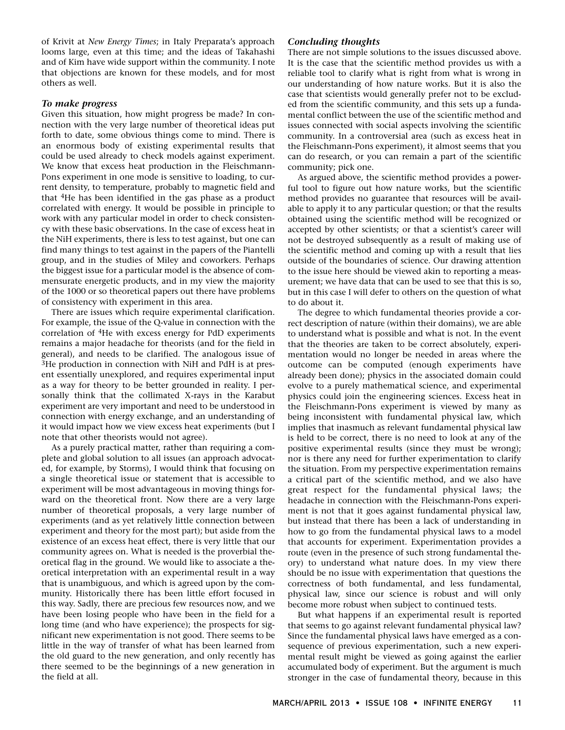of Krivit at *New Energy Times*; in Italy Preparata's approach looms large, even at this time; and the ideas of Takahashi and of Kim have wide support within the community. I note that objections are known for these models, and for most others as well.

#### **To make progress**

Given this situation, how might progress be made? In connection with the very large number of theoretical ideas put forth to date, some obvious things come to mind. There is an enormous body of existing experimental results that could be used already to check models against experiment. We know that excess heat production in the Fleischmann-Pons experiment in one mode is sensitive to loading, to current density, to temperature, probably to magnetic field and that 4He has been identified in the gas phase as a product correlated with energy. It would be possible in principle to work with any particular model in order to check consistency with these basic observations. In the case of excess heat in the NiH experiments, there is less to test against, but one can find many things to test against in the papers of the Piantelli group, and in the studies of Miley and coworkers. Perhaps the biggest issue for a particular model is the absence of commensurate energetic products, and in my view the majority of the 1000 or so theoretical papers out there have problems of consistency with experiment in this area.

There are issues which require experimental clarification. For example, the issue of the Q-value in connection with the correlation of 4He with excess energy for PdD experiments remains a major headache for theorists (and for the field in general), and needs to be clarified. The analogous issue of <sup>3</sup>He production in connection with NiH and PdH is at present essentially unexplored, and requires experimental input as a way for theory to be better grounded in reality. I personally think that the collimated X-rays in the Karabut experiment are very important and need to be understood in connection with energy exchange, and an understanding of it would impact how we view excess heat experiments (but I note that other theorists would not agree).

As a purely practical matter, rather than requiring a complete and global solution to all issues (an approach advocated, for example, by Storms), I would think that focusing on a single theoretical issue or statement that is accessible to experiment will be most advantageous in moving things forward on the theoretical front. Now there are a very large number of theoretical proposals, a very large number of experiments (and as yet relatively little connection between experiment and theory for the most part); but aside from the existence of an excess heat effect, there is very little that our community agrees on. What is needed is the proverbial theoretical flag in the ground. We would like to associate a theoretical interpretation with an experimental result in a way that is unambiguous, and which is agreed upon by the community. Historically there has been little effort focused in this way. Sadly, there are precious few resources now, and we have been losing people who have been in the field for a long time (and who have experience); the prospects for significant new experimentation is not good. There seems to be little in the way of transfer of what has been learned from the old guard to the new generation, and only recently has there seemed to be the beginnings of a new generation in the field at all.

#### **Concluding thoughts**

There are not simple solutions to the issues discussed above. It is the case that the scientific method provides us with a reliable tool to clarify what is right from what is wrong in our understanding of how nature works. But it is also the case that scientists would generally prefer not to be excluded from the scientific community, and this sets up a fundamental conflict between the use of the scientific method and issues connected with social aspects involving the scientific community. In a controversial area (such as excess heat in the Fleischmann-Pons experiment), it almost seems that you can do research, or you can remain a part of the scientific community; pick one.

As argued above, the scientific method provides a powerful tool to figure out how nature works, but the scientific method provides no guarantee that resources will be available to apply it to any particular question; or that the results obtained using the scientific method will be recognized or accepted by other scientists; or that a scientist's career will not be destroyed subsequently as a result of making use of the scientific method and coming up with a result that lies outside of the boundaries of science. Our drawing attention to the issue here should be viewed akin to reporting a measurement; we have data that can be used to see that this is so, but in this case I will defer to others on the question of what to do about it.

The degree to which fundamental theories provide a correct description of nature (within their domains), we are able to understand what is possible and what is not. In the event that the theories are taken to be correct absolutely, experimentation would no longer be needed in areas where the outcome can be computed (enough experiments have already been done); physics in the associated domain could evolve to a purely mathematical science, and experimental physics could join the engineering sciences. Excess heat in the Fleischmann-Pons experiment is viewed by many as being inconsistent with fundamental physical law, which implies that inasmuch as relevant fundamental physical law is held to be correct, there is no need to look at any of the positive experimental results (since they must be wrong); nor is there any need for further experimentation to clarify the situation. From my perspective experimentation remains a critical part of the scientific method, and we also have great respect for the fundamental physical laws; the headache in connection with the Fleischmann-Pons experiment is not that it goes against fundamental physical law, but instead that there has been a lack of understanding in how to go from the fundamental physical laws to a model that accounts for experiment. Experimentation provides a route (even in the presence of such strong fundamental theory) to understand what nature does. In my view there should be no issue with experimentation that questions the correctness of both fundamental, and less fundamental, physical law, since our science is robust and will only become more robust when subject to continued tests.

But what happens if an experimental result is reported that seems to go against relevant fundamental physical law? Since the fundamental physical laws have emerged as a consequence of previous experimentation, such a new experimental result might be viewed as going against the earlier accumulated body of experiment. But the argument is much stronger in the case of fundamental theory, because in this